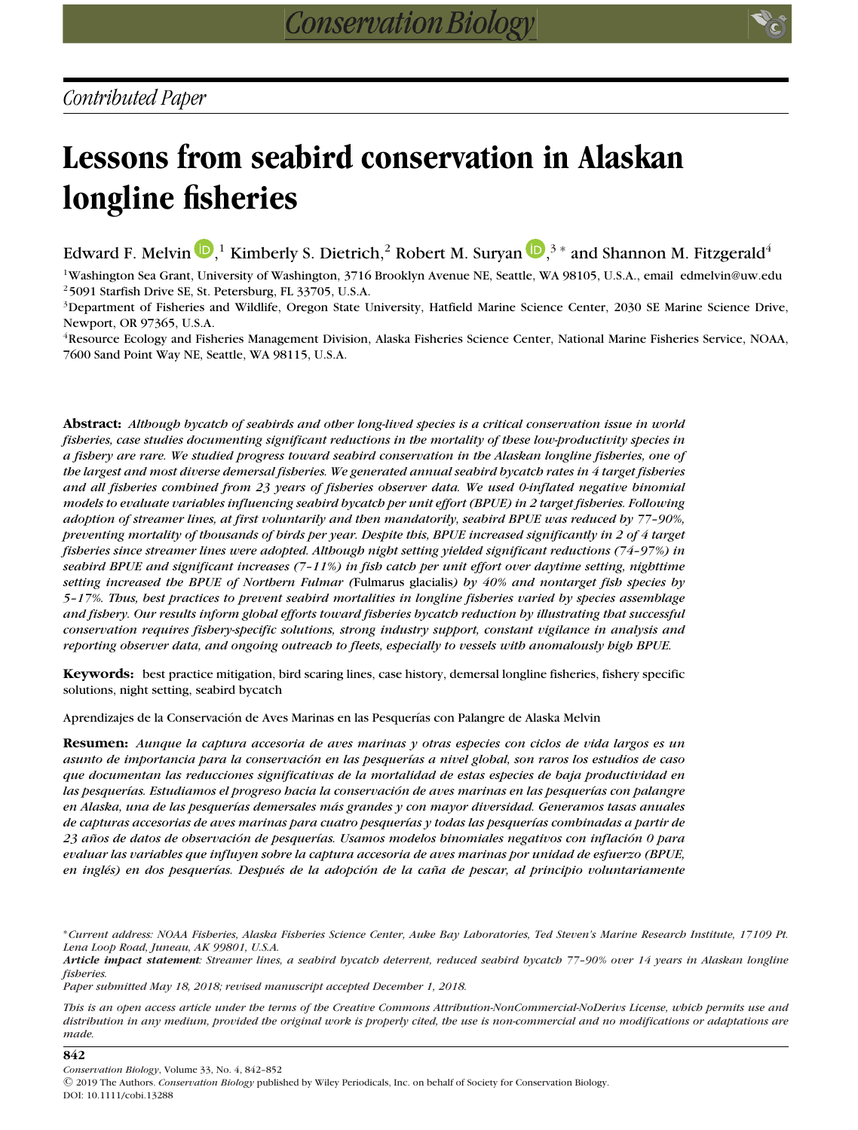# **Lessons from seabird conservation in Alaskan longline fisheries**

Edward F. Melvin  $\bigcup_{i=1}^{n}$  Kimberly S. Dietrich[,](https://orcid.org/0000-0003-0755-8317)<sup>2</sup> Robert M. Suryan  $\bigcup_{i=1}^{n}$  and Shannon M. Fitzgerald<sup>4</sup>

1Washington Sea Grant, University of Washington, 3716 Brooklyn Avenue NE, Seattle, WA 98105, U.S.A., email edmelvin@uw.edu <sup>2</sup> 5091 Starfish Drive SE, St. Petersburg, FL 33705, U.S.A.

<sup>3</sup>Department of Fisheries and Wildlife, Oregon State University, Hatfield Marine Science Center, 2030 SE Marine Science Drive, Newport, OR 97365, U.S.A.

4Resource Ecology and Fisheries Management Division, Alaska Fisheries Science Center, National Marine Fisheries Service, NOAA, 7600 Sand Point Way NE, Seattle, WA 98115, U.S.A.

**Abstract:** *Although bycatch of seabirds and other long-lived species is a critical conservation issue in world fisheries, case studies documenting significant reductions in the mortality of these low-productivity species in a fishery are rare. We studied progress toward seabird conservation in the Alaskan longline fisheries, one of the largest and most diverse demersal fisheries. We generated annual seabird bycatch rates in 4 target fisheries and all fisheries combined from 23 years of fisheries observer data. We used 0-inflated negative binomial models to evaluate variables influencing seabird bycatch per unit effort (BPUE) in 2 target fisheries. Following adoption of streamer lines, at first voluntarily and then mandatorily, seabird BPUE was reduced by 77–90%, preventing mortality of thousands of birds per year. Despite this, BPUE increased significantly in 2 of 4 target fisheries since streamer lines were adopted. Although night setting yielded significant reductions (74–97%) in seabird BPUE and significant increases (7–11%) in fish catch per unit effort over daytime setting, nighttime setting increased the BPUE of Northern Fulmar (*Fulmarus glacialis*) by 40% and nontarget fish species by 5–17%. Thus, best practices to prevent seabird mortalities in longline fisheries varied by species assemblage and fishery. Our results inform global efforts toward fisheries bycatch reduction by illustrating that successful conservation requires fishery-specific solutions, strong industry support, constant vigilance in analysis and reporting observer data, and ongoing outreach to fleets, especially to vessels with anomalously high BPUE.*

**Keywords:** best practice mitigation, bird scaring lines, case history, demersal longline fisheries, fishery specific solutions, night setting, seabird bycatch

Aprendizajes de la Conservación de Aves Marinas en las Pesquerías con Palangre de Alaska Melvin

**Resumen:** *Aunque la captura accesoria de aves marinas y otras especies con ciclos de vida largos es un asunto de importancia para la conservacion en las pesquer ´ ´ıas a nivel global, son raros los estudios de caso que documentan las reducciones significativas de la mortalidad de estas especies de baja productividad en las pesquer´ıas. Estudiamos el progreso hacia la conservacion de aves marinas en las pesquer ´ ´ıas con palangre en Alaska, una de las pesquer´ıas demersales mas grandes y con mayor diversidad. Generamos tasas anuales ´ de capturas accesorias de aves marinas para cuatro pesquer´ıas y todas las pesquer´ıas combinadas a partir de 23 anos de datos de observaci ˜ on de pesquer ´ ´ıas. Usamos modelos binomiales negativos con inflacion 0 para ´ evaluar las variables que influyen sobre la captura accesoria de aves marinas por unidad de esfuerzo (BPUE, en ingl´es) en dos pesquer´ıas. Despu´es de la adopcion de la ca ´ na de pescar, al principio voluntariamente ˜*

*Paper submitted May 18, 2018; revised manuscript accepted December 1, 2018.*

*This is an open access article under the terms of the [Creative Commons Attribution-NonCommercial-NoDerivs](http://creativecommons.org/licenses/by-nc-nd/4.0/) License, which permits use and distribution in any medium, provided the original work is properly cited, the use is non-commercial and no modifications or adaptations are made.*

#### **842**

C 2019 The Authors. *Conservation Biology* published by Wiley Periodicals, Inc. on behalf of Society for Conservation Biology. DOI: 10.1111/cobi.13288

<sup>∗</sup>*Current address: NOAA Fisheries, Alaska Fisheries Science Center, Auke Bay Laboratories, Ted Steven's Marine Research Institute, 17109 Pt. Lena Loop Road, Juneau, AK 99801, U.S.A.*

*Article impact statement: Streamer lines, a seabird bycatch deterrent, reduced seabird bycatch 77–90% over 14 years in Alaskan longline fisheries.*

*Conservation Biology*, Volume 33, No. 4, 842–852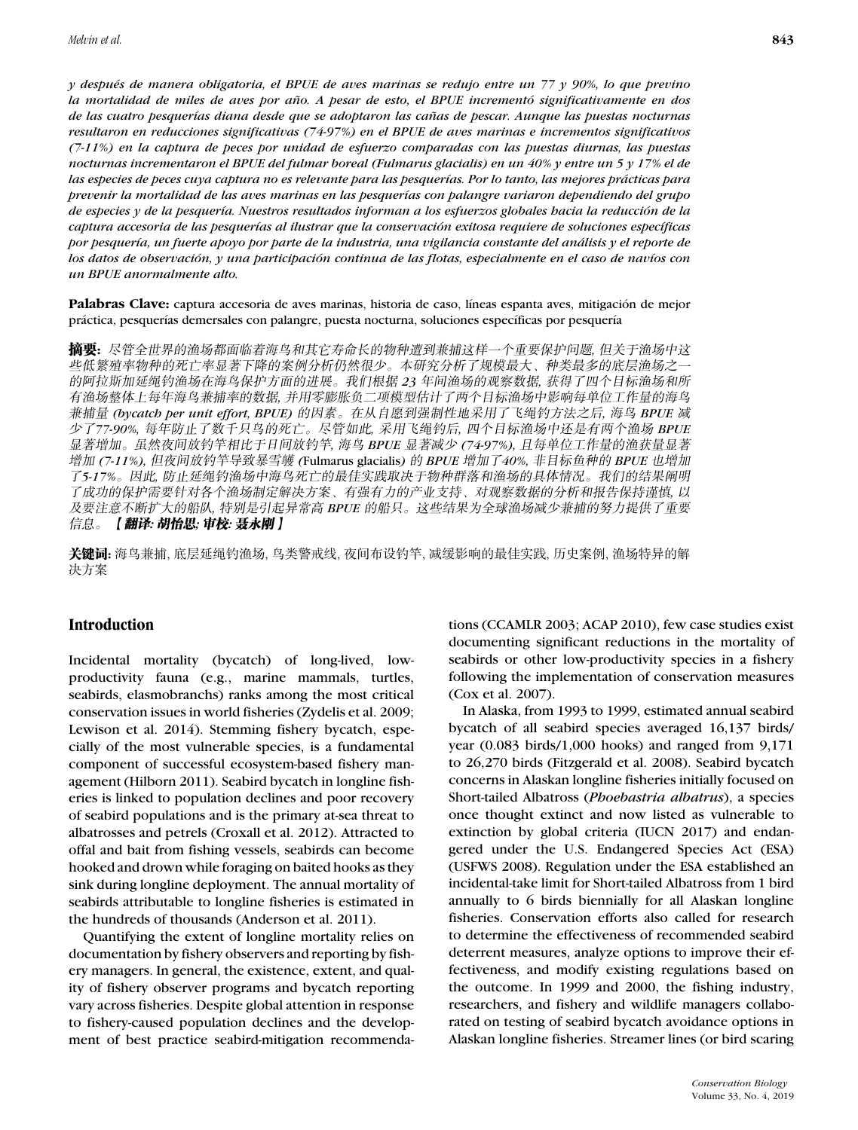*y despu´es de manera obligatoria, el BPUE de aves marinas se redujo entre un 77 y 90%, lo que previno la mortalidad de miles de aves por año. A pesar de esto, el BPUE incrementó significativamente en dos de las cuatro pesquer´ıas diana desde que se adoptaron las canas de pescar. Aunque las puestas nocturnas ˜ resultaron en reducciones significativas (74-97%) en el BPUE de aves marinas e incrementos significativos (7-11%) en la captura de peces por unidad de esfuerzo comparadas con las puestas diurnas, las puestas nocturnas incrementaron el BPUE del fulmar boreal (Fulmarus glacialis) en un 40% y entre un 5 y 17% el de las especies de peces cuya captura no es relevante para las pesquer´ıas. Por lo tanto, las mejores practicas para ´ prevenir la mortalidad de las aves marinas en las pesquer´ıas con palangre variaron dependiendo del grupo de especies y de la pesquer´ıa. Nuestros resultados informan a los esfuerzos globales hacia la reduccion de la ´ captura accesoria de las pesquer´ıas al ilustrar que la conservacion exitosa requiere de soluciones espec ´ ´ıficas por pesquer´ıa, un fuerte apoyo por parte de la industria, una vigilancia constante del analisis y el reporte de ´ los datos de observación, y una participación continua de las flotas, especialmente en el caso de navíos con un BPUE anormalmente alto.*

Palabras Clave: captura accesoria de aves marinas, historia de caso, líneas espanta aves, mitigación de mejor práctica, pesquerías demersales con palangre, puesta nocturna, soluciones específicas por pesquería

摘要: 尽管全世界的渔场都面临着海鸟和其它寿命长的物种遭到兼捕这样一个重要保护问题, 但关于渔场中这 些低繁殖率物种的死亡率显著下降的案例分析仍然很少。本研究分析了规模最大、种类最多的底层渔场之一 的阿拉斯加延绳钓渔场在海鸟保护方面的进展。我们根据 23 年间渔场的观察数据, 获得了四个目标渔场和所 有渔场整体上每年海鸟兼捕率的数据, 并用零膨胀负二项模型估计了两个目标渔场中影响每单位工作量的海鸟 兼捕量 (bycatcb per unit effort, BPUE) 的因素。在从自愿到强制性地采用了飞绳钓方法之后, 海鸟 BPUE 减 少了77-90%, 每年防止了数千只鸟的死亡。尽管如此, 采用飞绳钓后, 四个目标渔场中还是有两个渔场 BPUE 显著增加。虽然夜间放钓竿相比于日间放钓竿, 海鸟 BPUE 显著减少 (74-97%), 且每单位工作量的渔获量显著 增加 (7-11%), 但夜间放钓竿导致暴雪鹱 (Fulmarus glacialis) 的 *BPUE* 增加了40%, 非目标鱼种的 *BPUE* 也增加 了5-17%。因此,防止延绳钓渔场中海鸟死亡的最佳实践取决于物种群落和渔场的具体情况。我们的结果阐明 了成功的保护需要针对各个渔场制定解决方案、有强有力的产业支持、对观察数据的分析和报告保持谨慎, 以 及要注意不断扩大的船队, 特别是引起异常高 BPUE 的船只。这些结果为全球渔场减少兼捕的努力提供了重要 *信息。【翻译: 胡怡思; 审校: 聂永刚】* 

**关键词:** 海鸟兼捕, 底层延绳钓渔场, 鸟类警戒线, 夜间布设钓竿, 减缓影响的最佳实践, 历史案例, 渔场特异的解 决方案

## **Introduction**

Incidental mortality (bycatch) of long-lived, lowproductivity fauna (e.g., marine mammals, turtles, seabirds, elasmobranchs) ranks among the most critical conservation issues in world fisheries (Zydelis et al. 2009; Lewison et al. 2014). Stemming fishery bycatch, especially of the most vulnerable species, is a fundamental component of successful ecosystem-based fishery management (Hilborn 2011). Seabird bycatch in longline fisheries is linked to population declines and poor recovery of seabird populations and is the primary at-sea threat to albatrosses and petrels (Croxall et al. 2012). Attracted to offal and bait from fishing vessels, seabirds can become hooked and drown while foraging on baited hooks as they sink during longline deployment. The annual mortality of seabirds attributable to longline fisheries is estimated in the hundreds of thousands (Anderson et al. 2011).

Quantifying the extent of longline mortality relies on documentation by fishery observers and reporting by fishery managers. In general, the existence, extent, and quality of fishery observer programs and bycatch reporting vary across fisheries. Despite global attention in response to fishery-caused population declines and the development of best practice seabird-mitigation recommendations (CCAMLR 2003; ACAP 2010), few case studies exist documenting significant reductions in the mortality of seabirds or other low-productivity species in a fishery following the implementation of conservation measures (Cox et al. 2007).

In Alaska, from 1993 to 1999, estimated annual seabird bycatch of all seabird species averaged 16,137 birds/ year (0.083 birds/1,000 hooks) and ranged from 9,171 to 26,270 birds (Fitzgerald et al. 2008). Seabird bycatch concerns in Alaskan longline fisheries initially focused on Short-tailed Albatross (*Phoebastria albatrus*), a species once thought extinct and now listed as vulnerable to extinction by global criteria (IUCN 2017) and endangered under the U.S. Endangered Species Act (ESA) (USFWS 2008). Regulation under the ESA established an incidental-take limit for Short-tailed Albatross from 1 bird annually to 6 birds biennially for all Alaskan longline fisheries. Conservation efforts also called for research to determine the effectiveness of recommended seabird deterrent measures, analyze options to improve their effectiveness, and modify existing regulations based on the outcome. In 1999 and 2000, the fishing industry, researchers, and fishery and wildlife managers collaborated on testing of seabird bycatch avoidance options in Alaskan longline fisheries. Streamer lines (or bird scaring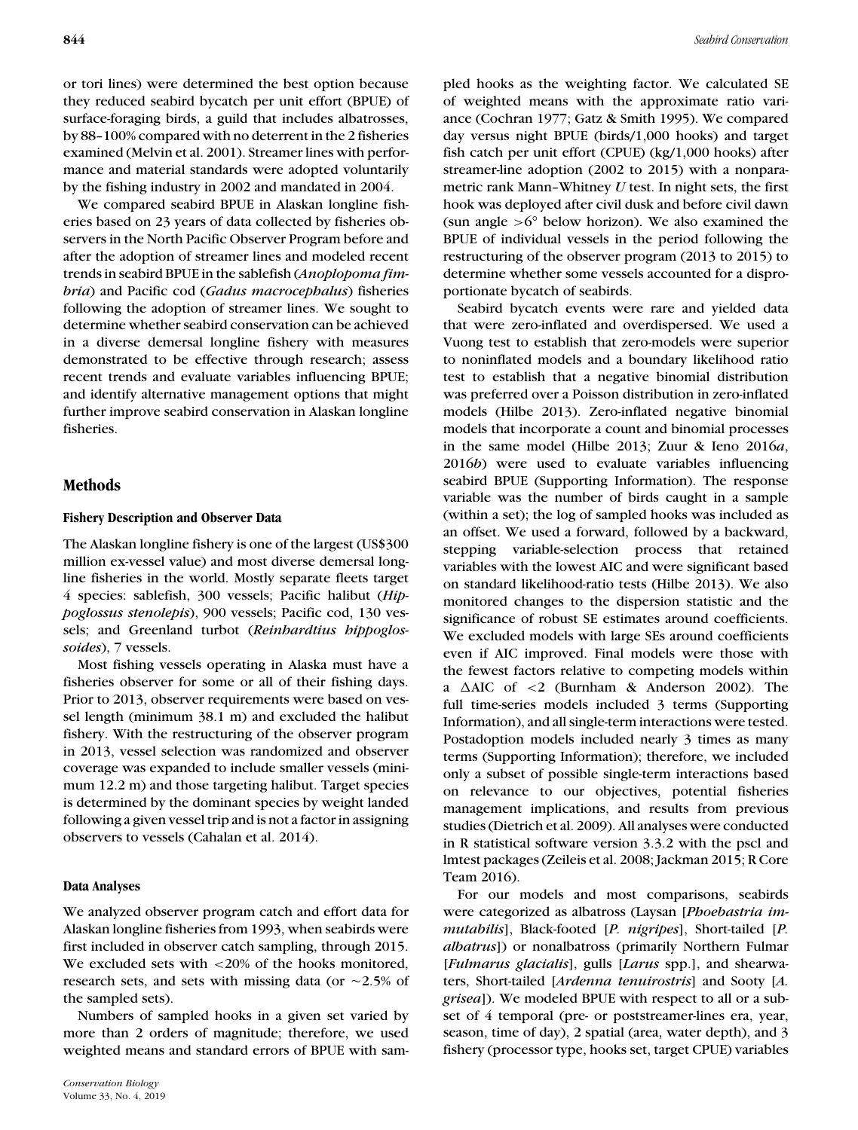or tori lines) were determined the best option because they reduced seabird bycatch per unit effort (BPUE) of surface-foraging birds, a guild that includes albatrosses, by 88–100% compared with no deterrent in the 2 fisheries examined (Melvin et al. 2001). Streamer lines with performance and material standards were adopted voluntarily by the fishing industry in 2002 and mandated in 2004.

We compared seabird BPUE in Alaskan longline fisheries based on 23 years of data collected by fisheries observers in the North Pacific Observer Program before and after the adoption of streamer lines and modeled recent trends in seabird BPUE in the sablefish (*Anoplopoma fimbria*) and Pacific cod (*Gadus macrocephalus*) fisheries following the adoption of streamer lines. We sought to determine whether seabird conservation can be achieved in a diverse demersal longline fishery with measures demonstrated to be effective through research; assess recent trends and evaluate variables influencing BPUE; and identify alternative management options that might further improve seabird conservation in Alaskan longline fisheries.

## **Methods**

#### **Fishery Description and Observer Data**

The Alaskan longline fishery is one of the largest (US\$300 million ex-vessel value) and most diverse demersal longline fisheries in the world. Mostly separate fleets target 4 species: sablefish, 300 vessels; Pacific halibut (*Hippoglossus stenolepis*), 900 vessels; Pacific cod, 130 vessels; and Greenland turbot (*Reinhardtius hippoglossoides*), 7 vessels.

Most fishing vessels operating in Alaska must have a fisheries observer for some or all of their fishing days. Prior to 2013, observer requirements were based on vessel length (minimum 38.1 m) and excluded the halibut fishery. With the restructuring of the observer program in 2013, vessel selection was randomized and observer coverage was expanded to include smaller vessels (minimum 12.2 m) and those targeting halibut. Target species is determined by the dominant species by weight landed following a given vessel trip and is not a factor in assigning observers to vessels (Cahalan et al. 2014).

#### **Data Analyses**

We analyzed observer program catch and effort data for Alaskan longline fisheries from 1993, when seabirds were first included in observer catch sampling, through 2015. We excluded sets with <20% of the hooks monitored, research sets, and sets with missing data (or  $\sim$  2.5% of the sampled sets).

Numbers of sampled hooks in a given set varied by more than 2 orders of magnitude; therefore, we used weighted means and standard errors of BPUE with sampled hooks as the weighting factor. We calculated SE of weighted means with the approximate ratio variance (Cochran 1977; Gatz & Smith 1995). We compared day versus night BPUE (birds/1,000 hooks) and target fish catch per unit effort (CPUE) (kg/1,000 hooks) after streamer-line adoption (2002 to 2015) with a nonparametric rank Mann–Whitney *U* test. In night sets, the first hook was deployed after civil dusk and before civil dawn (sun angle  $>6^\circ$  below horizon). We also examined the BPUE of individual vessels in the period following the restructuring of the observer program (2013 to 2015) to determine whether some vessels accounted for a disproportionate bycatch of seabirds.

Seabird bycatch events were rare and yielded data that were zero-inflated and overdispersed. We used a Vuong test to establish that zero-models were superior to noninflated models and a boundary likelihood ratio test to establish that a negative binomial distribution was preferred over a Poisson distribution in zero-inflated models (Hilbe 2013). Zero-inflated negative binomial models that incorporate a count and binomial processes in the same model (Hilbe 2013; Zuur & Ieno 2016*a*, 2016*b*) were used to evaluate variables influencing seabird BPUE (Supporting Information). The response variable was the number of birds caught in a sample (within a set); the log of sampled hooks was included as an offset. We used a forward, followed by a backward, stepping variable-selection process that retained variables with the lowest AIC and were significant based on standard likelihood-ratio tests (Hilbe 2013). We also monitored changes to the dispersion statistic and the significance of robust SE estimates around coefficients. We excluded models with large SEs around coefficients even if AIC improved. Final models were those with the fewest factors relative to competing models within a  $\triangle$ AIC of <2 (Burnham & Anderson 2002). The full time-series models included 3 terms (Supporting Information), and all single-term interactions were tested. Postadoption models included nearly 3 times as many terms (Supporting Information); therefore, we included only a subset of possible single-term interactions based on relevance to our objectives, potential fisheries management implications, and results from previous studies (Dietrich et al. 2009). All analyses were conducted in R statistical software version 3.3.2 with the pscl and lmtest packages (Zeileis et al. 2008; Jackman 2015; R Core Team 2016).

For our models and most comparisons, seabirds were categorized as albatross (Laysan [*Phoebastria immutabilis*], Black-footed [*P. nigripes*], Short-tailed [*P. albatrus*]) or nonalbatross (primarily Northern Fulmar [*Fulmarus glacialis*], gulls [*Larus* spp.], and shearwaters, Short-tailed [*Ardenna tenuirostris*] and Sooty [*A. grisea*]). We modeled BPUE with respect to all or a subset of 4 temporal (pre- or poststreamer-lines era, year, season, time of day), 2 spatial (area, water depth), and 3 fishery (processor type, hooks set, target CPUE) variables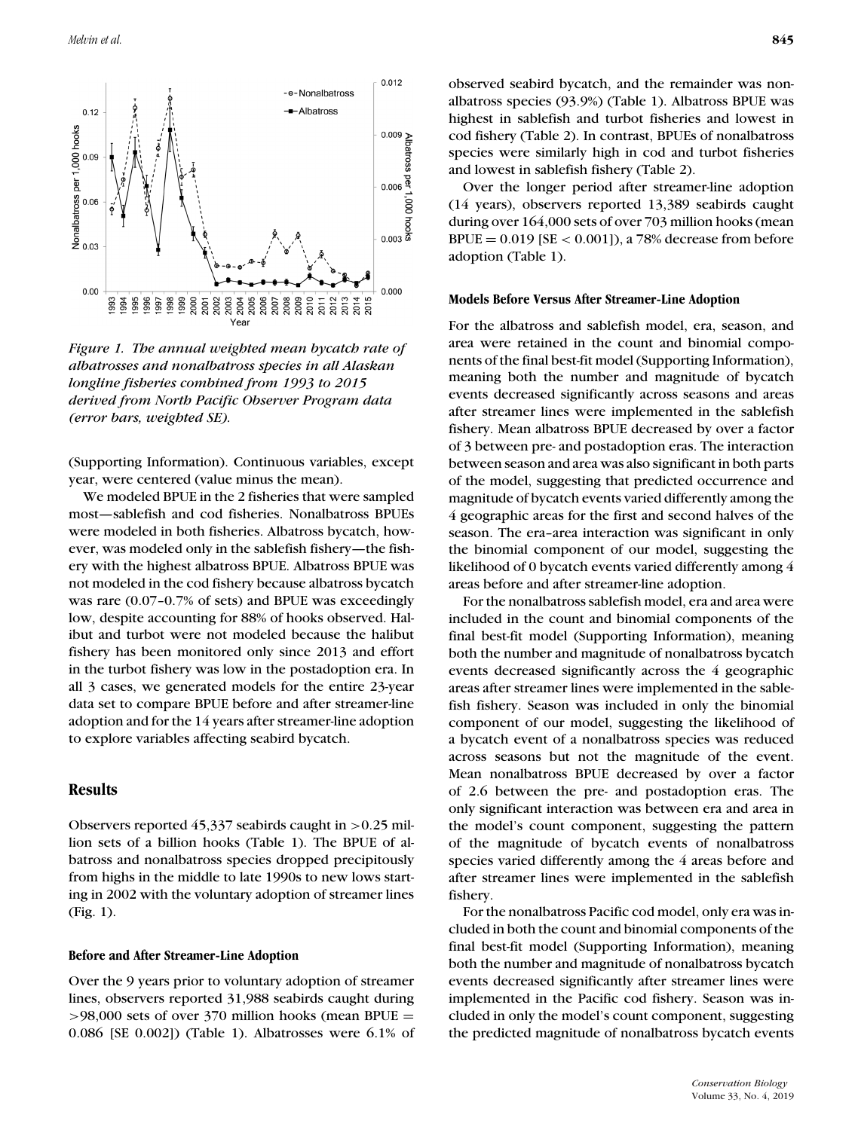

*Figure 1. The annual weighted mean bycatch rate of albatrosses and nonalbatross species in all Alaskan longline fisheries combined from 1993 to 2015 derived from North Pacific Observer Program data (error bars, weighted SE).*

(Supporting Information). Continuous variables, except year, were centered (value minus the mean).

We modeled BPUE in the 2 fisheries that were sampled most—sablefish and cod fisheries. Nonalbatross BPUEs were modeled in both fisheries. Albatross bycatch, however, was modeled only in the sablefish fishery—the fishery with the highest albatross BPUE. Albatross BPUE was not modeled in the cod fishery because albatross bycatch was rare (0.07–0.7% of sets) and BPUE was exceedingly low, despite accounting for 88% of hooks observed. Halibut and turbot were not modeled because the halibut fishery has been monitored only since 2013 and effort in the turbot fishery was low in the postadoption era. In all 3 cases, we generated models for the entire 23-year data set to compare BPUE before and after streamer-line adoption and for the 14 years after streamer-line adoption to explore variables affecting seabird bycatch.

# **Results**

Observers reported  $45,337$  seabirds caught in  $>0.25$  million sets of a billion hooks (Table 1). The BPUE of albatross and nonalbatross species dropped precipitously from highs in the middle to late 1990s to new lows starting in 2002 with the voluntary adoption of streamer lines (Fig. 1).

#### **Before and After Streamer-Line Adoption**

Over the 9 years prior to voluntary adoption of streamer lines, observers reported 31,988 seabirds caught during  $>98,000$  sets of over 370 million hooks (mean BPUE  $=$ 0.086 [SE 0.002]) (Table 1). Albatrosses were 6.1% of observed seabird bycatch, and the remainder was nonalbatross species (93.9%) (Table 1). Albatross BPUE was highest in sablefish and turbot fisheries and lowest in cod fishery (Table 2). In contrast, BPUEs of nonalbatross species were similarly high in cod and turbot fisheries and lowest in sablefish fishery (Table 2).

Over the longer period after streamer-line adoption (14 years), observers reported 13,389 seabirds caught during over 164,000 sets of over 703 million hooks (mean  $B PUE = 0.019$  [SE  $< 0.001$ ]), a 78% decrease from before adoption (Table 1).

#### **Models Before Versus After Streamer-Line Adoption**

For the albatross and sablefish model, era, season, and area were retained in the count and binomial components of the final best-fit model (Supporting Information), meaning both the number and magnitude of bycatch events decreased significantly across seasons and areas after streamer lines were implemented in the sablefish fishery. Mean albatross BPUE decreased by over a factor of 3 between pre- and postadoption eras. The interaction between season and area was also significant in both parts of the model, suggesting that predicted occurrence and magnitude of bycatch events varied differently among the 4 geographic areas for the first and second halves of the season. The era–area interaction was significant in only the binomial component of our model, suggesting the likelihood of 0 bycatch events varied differently among 4 areas before and after streamer-line adoption.

For the nonalbatross sablefish model, era and area were included in the count and binomial components of the final best-fit model (Supporting Information), meaning both the number and magnitude of nonalbatross bycatch events decreased significantly across the 4 geographic areas after streamer lines were implemented in the sablefish fishery. Season was included in only the binomial component of our model, suggesting the likelihood of a bycatch event of a nonalbatross species was reduced across seasons but not the magnitude of the event. Mean nonalbatross BPUE decreased by over a factor of 2.6 between the pre- and postadoption eras. The only significant interaction was between era and area in the model's count component, suggesting the pattern of the magnitude of bycatch events of nonalbatross species varied differently among the 4 areas before and after streamer lines were implemented in the sablefish fishery.

For the nonalbatross Pacific cod model, only era was included in both the count and binomial components of the final best-fit model (Supporting Information), meaning both the number and magnitude of nonalbatross bycatch events decreased significantly after streamer lines were implemented in the Pacific cod fishery. Season was included in only the model's count component, suggesting the predicted magnitude of nonalbatross bycatch events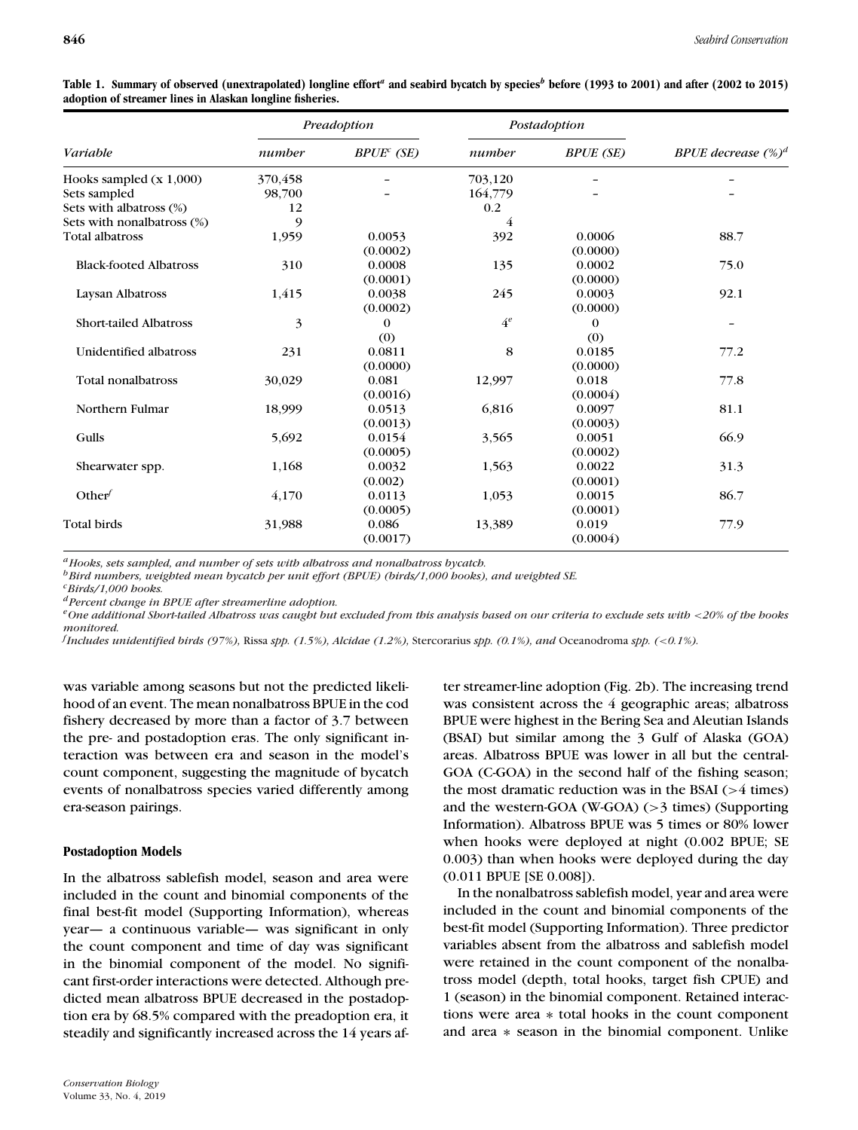|                               |         | Preadoption        |         | Postadoption       |                          |
|-------------------------------|---------|--------------------|---------|--------------------|--------------------------|
| Variable                      | number  | $BPUE^c$ (SE)      | number  | <b>BPUE</b> (SE)   | BPUE decrease $(\%)^d$   |
| Hooks sampled (x 1,000)       | 370,458 |                    | 703,120 |                    |                          |
| Sets sampled                  | 98,700  |                    | 164,779 |                    |                          |
| Sets with albatross (%)       | 12      |                    | 0.2     |                    |                          |
| Sets with nonalbatross (%)    | 9       |                    | 4       |                    |                          |
| Total albatross               | 1,959   | 0.0053<br>(0.0002) | 392     | 0.0006<br>(0.0000) | 88.7                     |
| <b>Black-footed Albatross</b> | 310     | 0.0008<br>(0.0001) | 135     | 0.0002<br>(0.0000) | 75.0                     |
| Laysan Albatross              | 1,415   | 0.0038<br>(0.0002) | 245     | 0.0003<br>(0.0000) | 92.1                     |
| <b>Short-tailed Albatross</b> | 3       | $\Omega$<br>(0)    | $4^e$   | $\Omega$<br>(0)    | $\overline{\phantom{a}}$ |
| Unidentified albatross        | 231     | 0.0811<br>(0.0000) | 8       | 0.0185<br>(0.0000) | 77.2                     |
| Total nonalbatross            | 30,029  | 0.081<br>(0.0016)  | 12,997  | 0.018<br>(0.0004)  | 77.8                     |
| Northern Fulmar               | 18,999  | 0.0513<br>(0.0013) | 6,816   | 0.0097<br>(0.0003) | 81.1                     |
| Gulls                         | 5,692   | 0.0154<br>(0.0005) | 3,565   | 0.0051<br>(0.0002) | 66.9                     |
| Shearwater spp.               | 1,168   | 0.0032<br>(0.002)  | 1,563   | 0.0022<br>(0.0001) | 31.3                     |
| Other $\int$                  | 4,170   | 0.0113<br>(0.0005) | 1,053   | 0.0015<br>(0.0001) | 86.7                     |
| <b>Total birds</b>            | 31,988  | 0.086<br>(0.0017)  | 13,389  | 0.019<br>(0.0004)  | 77.9                     |

**Table 1. Summary of observed (unextrapolated) longline effort***<sup>a</sup>* **and seabird bycatch by species***<sup>b</sup>* **before (1993 to 2001) and after (2002 to 2015) adoption of streamer lines in Alaskan longline fisheries.**

*aHooks, sets sampled, and number of sets with albatross and nonalbatross bycatch.*

*bBird numbers, weighted mean bycatch per unit effort (BPUE) (birds/1,000 hooks), and weighted SE.*

*cBirds/1,000 hooks.*

*dPercent change in BPUE after streamerline adoption.*

*eOne additional Short-tailed Albatross was caught but excluded from this analysis based on our criteria to exclude sets with* <*20% of the hooks monitored.*

*f Includes unidentified birds (97%),* Rissa *spp. (1.5%), Alcidae (1.2%),* Stercorarius *spp. (0.1%), and* Oceanodroma *spp. (*<*0.1%).*

was variable among seasons but not the predicted likelihood of an event. The mean nonalbatross BPUE in the cod fishery decreased by more than a factor of 3.7 between the pre- and postadoption eras. The only significant interaction was between era and season in the model's count component, suggesting the magnitude of bycatch events of nonalbatross species varied differently among era-season pairings.

## **Postadoption Models**

In the albatross sablefish model, season and area were included in the count and binomial components of the final best-fit model (Supporting Information), whereas year— a continuous variable— was significant in only the count component and time of day was significant in the binomial component of the model. No significant first-order interactions were detected. Although predicted mean albatross BPUE decreased in the postadoption era by 68.5% compared with the preadoption era, it steadily and significantly increased across the 14 years after streamer-line adoption (Fig. 2b). The increasing trend was consistent across the 4 geographic areas; albatross BPUE were highest in the Bering Sea and Aleutian Islands (BSAI) but similar among the 3 Gulf of Alaska (GOA) areas. Albatross BPUE was lower in all but the central-GOA (C-GOA) in the second half of the fishing season; the most dramatic reduction was in the BSAI  $(>4 \text{ times})$ and the western-GOA (W-GOA) (>3 times) (Supporting Information). Albatross BPUE was 5 times or 80% lower when hooks were deployed at night (0.002 BPUE; SE 0.003) than when hooks were deployed during the day (0.011 BPUE [SE 0.008]).

In the nonalbatross sablefish model, year and area were included in the count and binomial components of the best-fit model (Supporting Information). Three predictor variables absent from the albatross and sablefish model were retained in the count component of the nonalbatross model (depth, total hooks, target fish CPUE) and 1 (season) in the binomial component. Retained interactions were area ∗ total hooks in the count component and area ∗ season in the binomial component. Unlike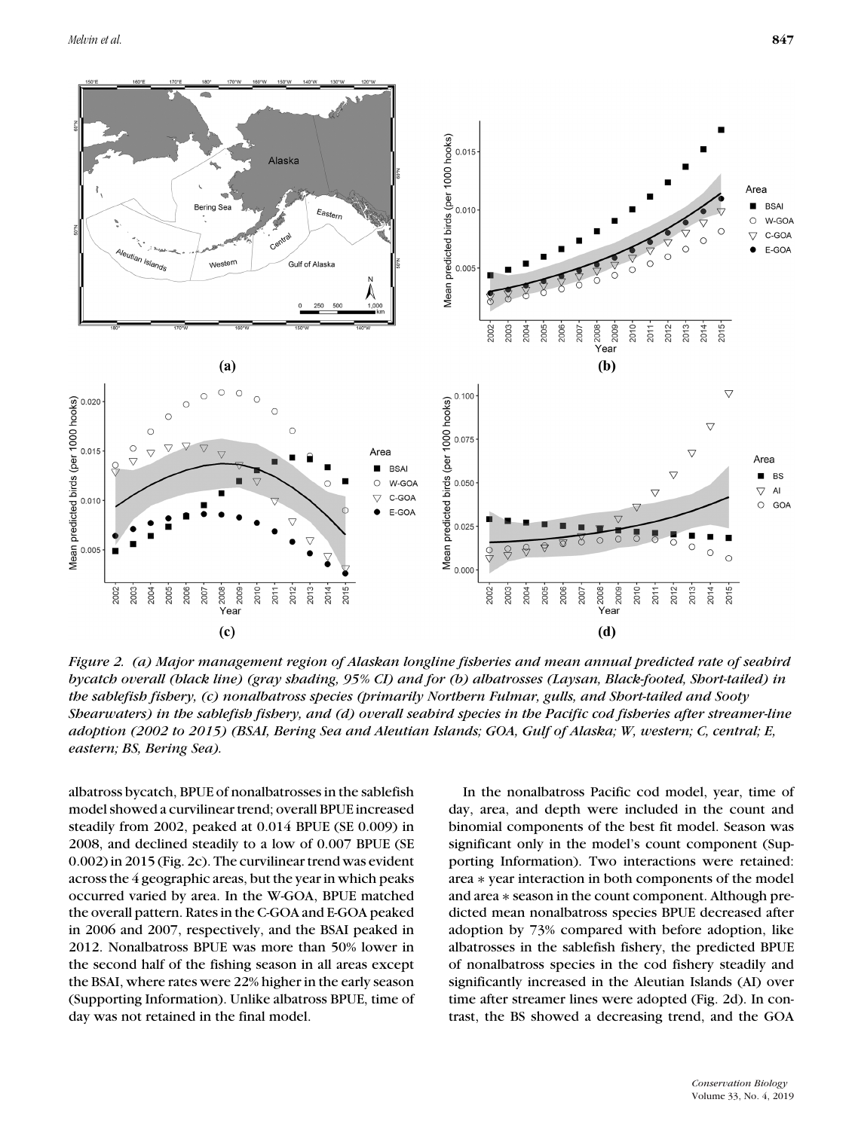

*Figure 2. (a) Major management region of Alaskan longline fisheries and mean annual predicted rate of seabird bycatch overall (black line) (gray shading, 95% CI) and for (b) albatrosses (Laysan, Black-footed, Short-tailed) in the sablefish fishery, (c) nonalbatross species (primarily Northern Fulmar, gulls, and Short-tailed and Sooty Shearwaters) in the sablefish fishery, and (d) overall seabird species in the Pacific cod fisheries after streamer-line adoption (2002 to 2015) (BSAI, Bering Sea and Aleutian Islands; GOA, Gulf of Alaska; W, western; C, central; E, eastern; BS, Bering Sea).*

albatross bycatch, BPUE of nonalbatrosses in the sablefish model showed a curvilinear trend; overall BPUE increased steadily from 2002, peaked at 0.014 BPUE (SE 0.009) in 2008, and declined steadily to a low of 0.007 BPUE (SE 0.002) in 2015 (Fig. 2c). The curvilinear trend was evident across the 4 geographic areas, but the year in which peaks occurred varied by area. In the W-GOA, BPUE matched the overall pattern. Rates in the C-GOA and E-GOA peaked in 2006 and 2007, respectively, and the BSAI peaked in 2012. Nonalbatross BPUE was more than 50% lower in the second half of the fishing season in all areas except the BSAI, where rates were 22% higher in the early season (Supporting Information). Unlike albatross BPUE, time of day was not retained in the final model.

In the nonalbatross Pacific cod model, year, time of day, area, and depth were included in the count and binomial components of the best fit model. Season was significant only in the model's count component (Supporting Information). Two interactions were retained: area ∗ year interaction in both components of the model and area ∗ season in the count component. Although predicted mean nonalbatross species BPUE decreased after adoption by 73% compared with before adoption, like albatrosses in the sablefish fishery, the predicted BPUE of nonalbatross species in the cod fishery steadily and significantly increased in the Aleutian Islands (AI) over time after streamer lines were adopted (Fig. 2d). In contrast, the BS showed a decreasing trend, and the GOA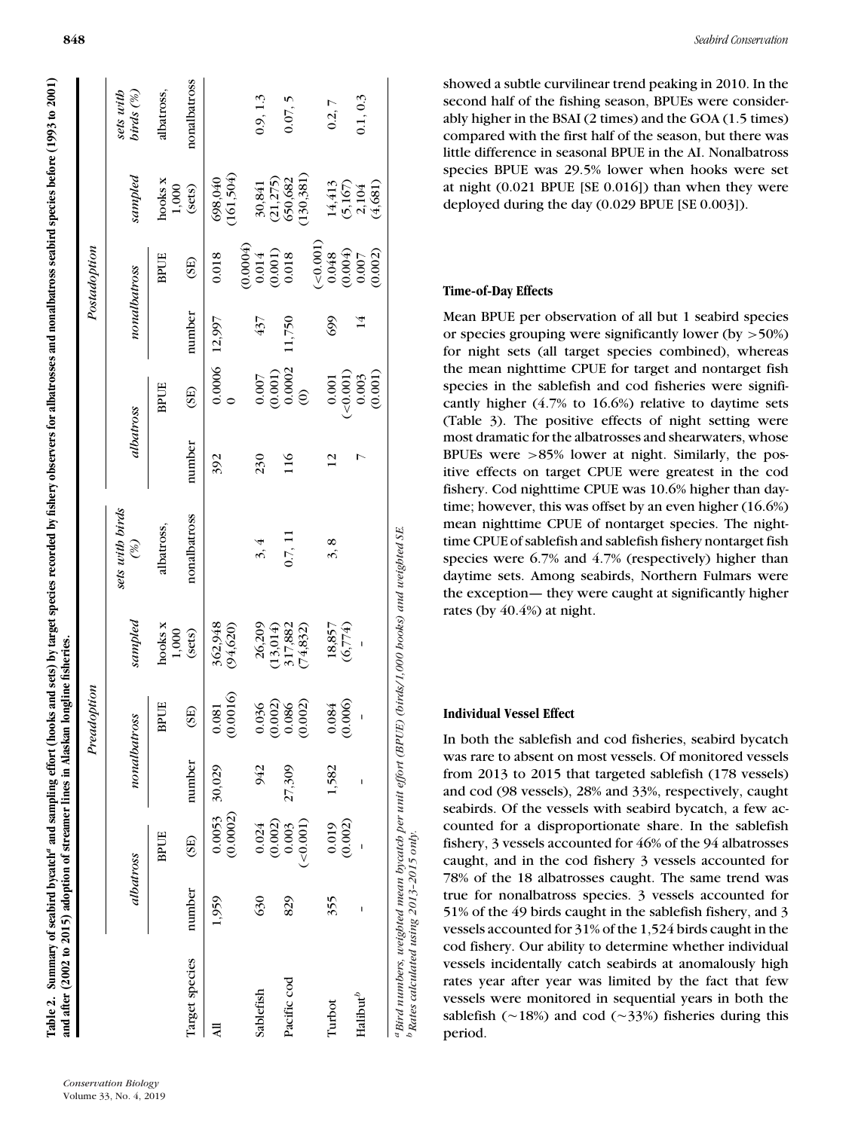| and after (2002 to 2015) adoption of streamer lines in Alaskan longline fisheries. |           |             |               |                                                                  |                                     |                                   |                |                                                                    |              |                                                                                        |                                                                           |                        |
|------------------------------------------------------------------------------------|-----------|-------------|---------------|------------------------------------------------------------------|-------------------------------------|-----------------------------------|----------------|--------------------------------------------------------------------|--------------|----------------------------------------------------------------------------------------|---------------------------------------------------------------------------|------------------------|
|                                                                                    |           |             |               | Preadoption                                                      |                                     |                                   |                |                                                                    |              | Postadoption                                                                           |                                                                           |                        |
|                                                                                    | albatross |             | nonalbatross  |                                                                  | sampled                             | sets with birds<br>$\binom{6}{2}$ |                | albatross                                                          | nonalbatross |                                                                                        | sampled                                                                   | sets with<br>birds (%) |
|                                                                                    |           | <b>BPUE</b> |               | <b>BPUE</b>                                                      | hooks x                             | albatross,                        |                | <b>BPUE</b>                                                        |              | <b>BPUE</b>                                                                            | hooks x                                                                   | albatross,             |
| Target species                                                                     | number    | (B)         | number        | (SE)                                                             | 1,000<br>(sets)                     | nonalbatross                      | number         | (SE)                                                               | number       | $\left($ SE)                                                                           | $1,000$<br>(sets)                                                         | nonalbatross           |
| ₹                                                                                  | 1.959     |             | 0.0053 30,029 | 0.081                                                            |                                     |                                   | 392            | 0.0006 12,997                                                      |              | 0.018                                                                                  |                                                                           |                        |
|                                                                                    |           | (0.0002)    |               | (0.0016)                                                         | 362,948<br>(94,620)                 |                                   |                |                                                                    |              |                                                                                        | $698,040$<br>$(161,504)$                                                  |                        |
|                                                                                    |           |             |               |                                                                  |                                     |                                   |                |                                                                    |              |                                                                                        |                                                                           |                        |
| Sablefish                                                                          | 630       | 0.024       | 942           |                                                                  | 26,209                              | 3, 4                              | 230            |                                                                    | 437          | $\begin{array}{c} (0.0004) \\ 0.014 \\ (0.001) \\ (0.013) \end{array}$                 |                                                                           | 0.9, 1.3               |
|                                                                                    |           | (0.002)     |               |                                                                  |                                     |                                   |                |                                                                    |              |                                                                                        |                                                                           |                        |
| Pacific cod                                                                        | 829       | 0.003       | 27,309        |                                                                  |                                     | 0.7, 11                           | $\frac{16}{1}$ |                                                                    | 11,750       |                                                                                        |                                                                           | 0.07, 5                |
|                                                                                    |           | (0.001)     |               | $\begin{array}{c} 0.036 \\ 0.002) \\ 0.086 \\ 0.002 \end{array}$ | $(13,014)$<br>317,882<br>$(74,832)$ |                                   |                | $\begin{array}{c} 0.007 \\ 0.001) \\ 0.0002 \\ 0.0002 \end{array}$ |              |                                                                                        | $\begin{array}{c} 30,841 \\ (21,275) \\ 650,682 \\ (130,381) \end{array}$ |                        |
|                                                                                    |           |             |               |                                                                  |                                     |                                   |                |                                                                    |              |                                                                                        |                                                                           |                        |
| Turbot                                                                             | 355       | 0.019       | 1,582         | 0.084                                                            |                                     | 3, 8                              | $\overline{2}$ |                                                                    | 699          |                                                                                        |                                                                           | 0.2, 7                 |
|                                                                                    |           | (0.002)     |               | (0.006)                                                          | $18,857$<br>(6,774)                 |                                   |                | $(10010)$ (<0.001)                                                 |              | $\begin{array}{c} (-0.001) \\ 0.048 \\ 0.004) \\ 0.007 \\ 0.007 \\ 0.002) \end{array}$ | 14,413<br>(5,167)<br>2,104<br>(4,681)                                     |                        |
| Halibut $^b$                                                                       | ı         |             |               |                                                                  |                                     |                                   |                |                                                                    | 14           |                                                                                        |                                                                           | 0.1, 0.3               |
|                                                                                    |           |             |               |                                                                  |                                     |                                   |                | (0.001)                                                            |              |                                                                                        |                                                                           |                        |

Table 2. Summary of seabird bycatch" and sampling effort (hooks and sets) by target species recorded by fishery observers for albatrosses and nonalbatross seabird species before (1993 to 2001)

Table 2. Summary of seabird bycatch" and sampling effort (hooks and sets) by target species recorded by fishery observers for albatrosses and nonalbatross seabird species before (1993 to 2001)

showed a subtle curvilinear trend peaking in 2010. In the second half of the fishing season, BPUEs were considerably higher in the BSAI (2 times) and the GOA (1.5 times) compared with the first half of the season, but there was little difference in seasonal BPUE in the AI. Nonalbatross species BPUE was 29.5% lower when hooks were set at night (0.021 BPUE [SE 0.016]) than when they were deployed during the day (0.029 BPUE [SE 0.003]).

## **Time-of-Day Effects**

Mean BPUE per observation of all but 1 seabird species or species grouping were significantly lower (by  $>50\%$ ) for night sets (all target species combined), whereas the mean nighttime CPUE for target and nontarget fish species in the sablefish and cod fisheries were significantly higher (4.7% to 16.6%) relative to daytime sets (Table 3). The positive effects of night setting were most dramatic for the albatrosses and shearwaters, whose BPUEs were >85% lower at night. Similarly, the positive effects on target CPUE were greatest in the cod fishery. Cod nighttime CPUE was 10.6% higher than daytime; however, this was offset by an even higher (16.6%) mean nighttime CPUE of nontarget species. The nighttime CPUE of sablefish and sablefish fishery nontarget fish species were 6.7% and 4.7% (respectively) higher than daytime sets. Among seabirds, Northern Fulmars were the exception— they were caught at significantly higher rates (by 40.4%) at night.

#### **Individual Vessel Effect**

 $^4$ Bird numbers, weighted mean bycatch per unit effort (BPUE) (birds/1,000 hooks) and weighted SE

"Bird numbers, weighted mean bycatch per unit effort (BPUE) (birds/1,000 hooks) and weighted SE.<br><sup>b</sup>Rates calculated using 2013–2015 only.

*bRates calculated using 2013–2015 only.*

In both the sablefish and cod fisheries, seabird bycatch was rare to absent on most vessels. Of monitored vessels from 2013 to 2015 that targeted sablefish (178 vessels) and cod (98 vessels), 28% and 33%, respectively, caught seabirds. Of the vessels with seabird bycatch, a few accounted for a disproportionate share. In the sablefish fishery, 3 vessels accounted for 46% of the 94 albatrosses caught, and in the cod fishery 3 vessels accounted for 78% of the 18 albatrosses caught. The same trend was true for nonalbatross species. 3 vessels accounted for 51% of the 49 birds caught in the sablefish fishery, and 3 vessels accounted for 31% of the 1,524 birds caught in the cod fishery. Our ability to determine whether individual vessels incidentally catch seabirds at anomalously high rates year after year was limited by the fact that few vessels were monitored in sequential years in both the sablefish  $(\sim 18\%)$  and cod  $(\sim 33\%)$  fisheries during this period.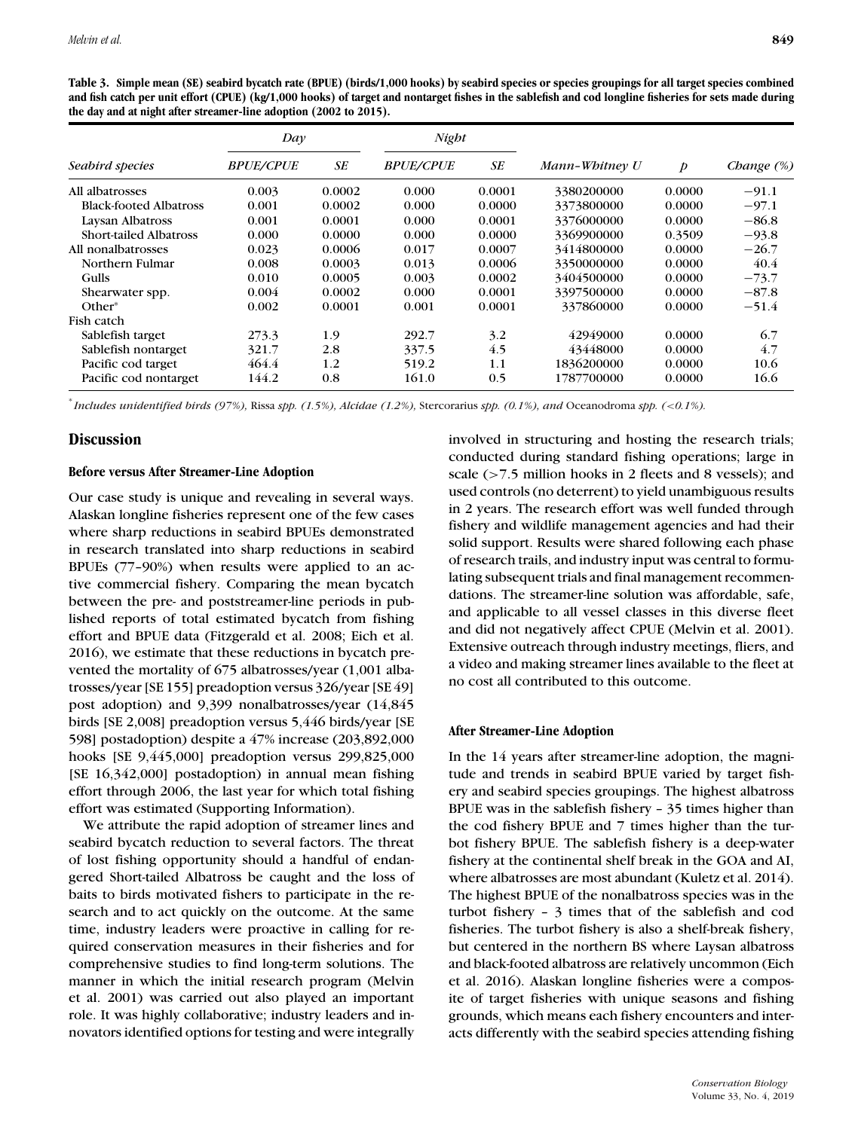**Table 3. Simple mean (SE) seabird bycatch rate (BPUE) (birds/1,000 hooks) by seabird species or species groupings for all target species combined and fish catch per unit effort (CPUE) (kg/1,000 hooks) of target and nontarget fishes in the sablefish and cod longline fisheries for sets made during the day and at night after streamer-line adoption (2002 to 2015).**

|                               | Day              |        | <b>Night</b>     |        |                |               |            |
|-------------------------------|------------------|--------|------------------|--------|----------------|---------------|------------|
| Seabird species               | <i>BPUE/CPUE</i> | SE     | <i>BPUE/CPUE</i> | SE     | Mann-Whitney U | $\mathcal{P}$ | Change (%) |
| All albatrosses               | 0.003            | 0.0002 | 0.000            | 0.0001 | 3380200000     | 0.0000        | $-91.1$    |
| <b>Black-footed Albatross</b> | 0.001            | 0.0002 | 0.000            | 0.0000 | 3373800000     | 0.0000        | $-97.1$    |
| Laysan Albatross              | 0.001            | 0.0001 | 0.000            | 0.0001 | 3376000000     | 0.0000        | $-86.8$    |
| <b>Short-tailed Albatross</b> | 0.000            | 0.0000 | 0.000            | 0.0000 | 3369900000     | 0.3509        | $-93.8$    |
| All nonalbatrosses            | 0.023            | 0.0006 | 0.017            | 0.0007 | 3414800000     | 0.0000        | $-26.7$    |
| Northern Fulmar               | 0.008            | 0.0003 | 0.013            | 0.0006 | 3350000000     | 0.0000        | 40.4       |
| Gulls                         | 0.010            | 0.0005 | 0.003            | 0.0002 | 3404500000     | 0.0000        | $-73.7$    |
| Shearwater spp.               | 0.004            | 0.0002 | 0.000            | 0.0001 | 3397500000     | 0.0000        | $-87.8$    |
| $Other*$                      | 0.002            | 0.0001 | 0.001            | 0.0001 | 337860000      | 0.0000        | $-51.4$    |
| Fish catch                    |                  |        |                  |        |                |               |            |
| Sablefish target              | 273.3            | 1.9    | 292.7            | 3.2    | 42949000       | 0.0000        | 6.7        |
| Sablefish nontarget           | 321.7            | 2.8    | 337.5            | 4.5    | 43448000       | 0.0000        | 4.7        |
| Pacific cod target            | 464.4            | 1.2    | 519.2            | 1.1    | 1836200000     | 0.0000        | 10.6       |
| Pacific cod nontarget         | 144.2            | 0.8    | 161.0            | 0.5    | 1787700000     | 0.0000        | 16.6       |

∗ *Includes unidentified birds (97%),* Rissa *spp. (1.5%), Alcidae (1.2%),* Stercorarius *spp. (0.1%), and* Oceanodroma *spp. (*<*0.1%).*

#### **Discussion**

## **Before versus After Streamer-Line Adoption**

Our case study is unique and revealing in several ways. Alaskan longline fisheries represent one of the few cases where sharp reductions in seabird BPUEs demonstrated in research translated into sharp reductions in seabird BPUEs (77–90%) when results were applied to an active commercial fishery. Comparing the mean bycatch between the pre- and poststreamer-line periods in published reports of total estimated bycatch from fishing effort and BPUE data (Fitzgerald et al. 2008; Eich et al. 2016), we estimate that these reductions in bycatch prevented the mortality of 675 albatrosses/year (1,001 albatrosses/year [SE 155] preadoption versus 326/year [SE 49] post adoption) and 9,399 nonalbatrosses/year (14,845 birds [SE 2,008] preadoption versus 5,446 birds/year [SE 598] postadoption) despite a 47% increase (203,892,000 hooks [SE 9,445,000] preadoption versus 299,825,000 [SE 16,342,000] postadoption) in annual mean fishing effort through 2006, the last year for which total fishing effort was estimated (Supporting Information).

We attribute the rapid adoption of streamer lines and seabird bycatch reduction to several factors. The threat of lost fishing opportunity should a handful of endangered Short-tailed Albatross be caught and the loss of baits to birds motivated fishers to participate in the research and to act quickly on the outcome. At the same time, industry leaders were proactive in calling for required conservation measures in their fisheries and for comprehensive studies to find long-term solutions. The manner in which the initial research program (Melvin et al. 2001) was carried out also played an important role. It was highly collaborative; industry leaders and innovators identified options for testing and were integrally involved in structuring and hosting the research trials; conducted during standard fishing operations; large in scale (>7.5 million hooks in 2 fleets and 8 vessels); and used controls (no deterrent) to yield unambiguous results in 2 years. The research effort was well funded through fishery and wildlife management agencies and had their solid support. Results were shared following each phase of research trails, and industry input was central to formulating subsequent trials and final management recommendations. The streamer-line solution was affordable, safe, and applicable to all vessel classes in this diverse fleet and did not negatively affect CPUE (Melvin et al. 2001). Extensive outreach through industry meetings, fliers, and a video and making streamer lines available to the fleet at no cost all contributed to this outcome.

#### **After Streamer-Line Adoption**

In the 14 years after streamer-line adoption, the magnitude and trends in seabird BPUE varied by target fishery and seabird species groupings. The highest albatross BPUE was in the sablefish fishery – 35 times higher than the cod fishery BPUE and 7 times higher than the turbot fishery BPUE. The sablefish fishery is a deep-water fishery at the continental shelf break in the GOA and AI, where albatrosses are most abundant (Kuletz et al. 2014). The highest BPUE of the nonalbatross species was in the turbot fishery – 3 times that of the sablefish and cod fisheries. The turbot fishery is also a shelf-break fishery, but centered in the northern BS where Laysan albatross and black-footed albatross are relatively uncommon (Eich et al. 2016). Alaskan longline fisheries were a composite of target fisheries with unique seasons and fishing grounds, which means each fishery encounters and interacts differently with the seabird species attending fishing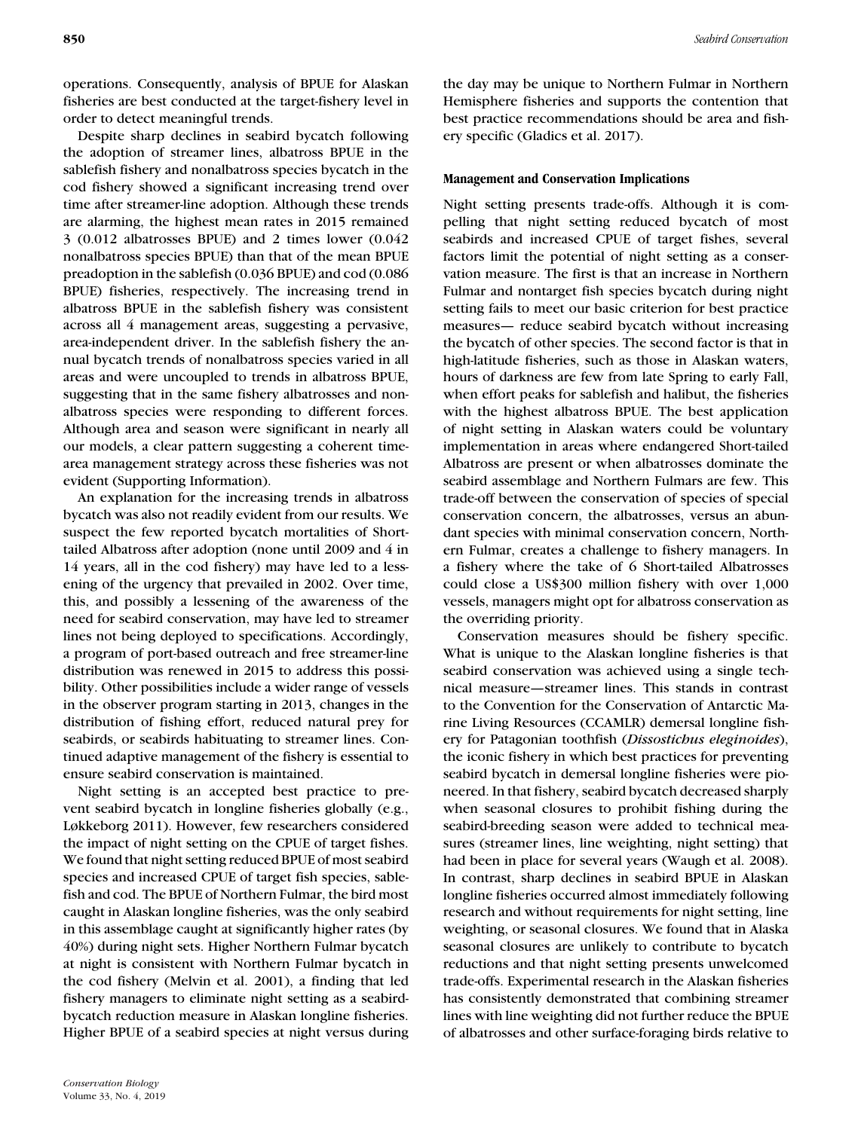operations. Consequently, analysis of BPUE for Alaskan fisheries are best conducted at the target-fishery level in order to detect meaningful trends.

Despite sharp declines in seabird bycatch following the adoption of streamer lines, albatross BPUE in the sablefish fishery and nonalbatross species bycatch in the cod fishery showed a significant increasing trend over time after streamer-line adoption. Although these trends are alarming, the highest mean rates in 2015 remained 3 (0.012 albatrosses BPUE) and 2 times lower (0.042 nonalbatross species BPUE) than that of the mean BPUE preadoption in the sablefish (0.036 BPUE) and cod (0.086 BPUE) fisheries, respectively. The increasing trend in albatross BPUE in the sablefish fishery was consistent across all 4 management areas, suggesting a pervasive, area-independent driver. In the sablefish fishery the annual bycatch trends of nonalbatross species varied in all areas and were uncoupled to trends in albatross BPUE, suggesting that in the same fishery albatrosses and nonalbatross species were responding to different forces. Although area and season were significant in nearly all our models, a clear pattern suggesting a coherent timearea management strategy across these fisheries was not evident (Supporting Information).

An explanation for the increasing trends in albatross bycatch was also not readily evident from our results. We suspect the few reported bycatch mortalities of Shorttailed Albatross after adoption (none until 2009 and 4 in 14 years, all in the cod fishery) may have led to a lessening of the urgency that prevailed in 2002. Over time, this, and possibly a lessening of the awareness of the need for seabird conservation, may have led to streamer lines not being deployed to specifications. Accordingly, a program of port-based outreach and free streamer-line distribution was renewed in 2015 to address this possibility. Other possibilities include a wider range of vessels in the observer program starting in 2013, changes in the distribution of fishing effort, reduced natural prey for seabirds, or seabirds habituating to streamer lines. Continued adaptive management of the fishery is essential to ensure seabird conservation is maintained.

Night setting is an accepted best practice to prevent seabird bycatch in longline fisheries globally (e.g., Løkkeborg 2011). However, few researchers considered the impact of night setting on the CPUE of target fishes. We found that night setting reduced BPUE of most seabird species and increased CPUE of target fish species, sablefish and cod. The BPUE of Northern Fulmar, the bird most caught in Alaskan longline fisheries, was the only seabird in this assemblage caught at significantly higher rates (by 40%) during night sets. Higher Northern Fulmar bycatch at night is consistent with Northern Fulmar bycatch in the cod fishery (Melvin et al. 2001), a finding that led fishery managers to eliminate night setting as a seabirdbycatch reduction measure in Alaskan longline fisheries. Higher BPUE of a seabird species at night versus during

the day may be unique to Northern Fulmar in Northern Hemisphere fisheries and supports the contention that best practice recommendations should be area and fishery specific (Gladics et al. 2017).

# **Management and Conservation Implications**

Night setting presents trade-offs. Although it is compelling that night setting reduced bycatch of most seabirds and increased CPUE of target fishes, several factors limit the potential of night setting as a conservation measure. The first is that an increase in Northern Fulmar and nontarget fish species bycatch during night setting fails to meet our basic criterion for best practice measures— reduce seabird bycatch without increasing the bycatch of other species. The second factor is that in high-latitude fisheries, such as those in Alaskan waters, hours of darkness are few from late Spring to early Fall, when effort peaks for sablefish and halibut, the fisheries with the highest albatross BPUE. The best application of night setting in Alaskan waters could be voluntary implementation in areas where endangered Short-tailed Albatross are present or when albatrosses dominate the seabird assemblage and Northern Fulmars are few. This trade-off between the conservation of species of special conservation concern, the albatrosses, versus an abundant species with minimal conservation concern, Northern Fulmar, creates a challenge to fishery managers. In a fishery where the take of 6 Short-tailed Albatrosses could close a US\$300 million fishery with over 1,000 vessels, managers might opt for albatross conservation as the overriding priority.

Conservation measures should be fishery specific. What is unique to the Alaskan longline fisheries is that seabird conservation was achieved using a single technical measure—streamer lines. This stands in contrast to the Convention for the Conservation of Antarctic Marine Living Resources (CCAMLR) demersal longline fishery for Patagonian toothfish (*Dissostichus eleginoides*), the iconic fishery in which best practices for preventing seabird bycatch in demersal longline fisheries were pioneered. In that fishery, seabird bycatch decreased sharply when seasonal closures to prohibit fishing during the seabird-breeding season were added to technical measures (streamer lines, line weighting, night setting) that had been in place for several years (Waugh et al. 2008). In contrast, sharp declines in seabird BPUE in Alaskan longline fisheries occurred almost immediately following research and without requirements for night setting, line weighting, or seasonal closures. We found that in Alaska seasonal closures are unlikely to contribute to bycatch reductions and that night setting presents unwelcomed trade-offs. Experimental research in the Alaskan fisheries has consistently demonstrated that combining streamer lines with line weighting did not further reduce the BPUE of albatrosses and other surface-foraging birds relative to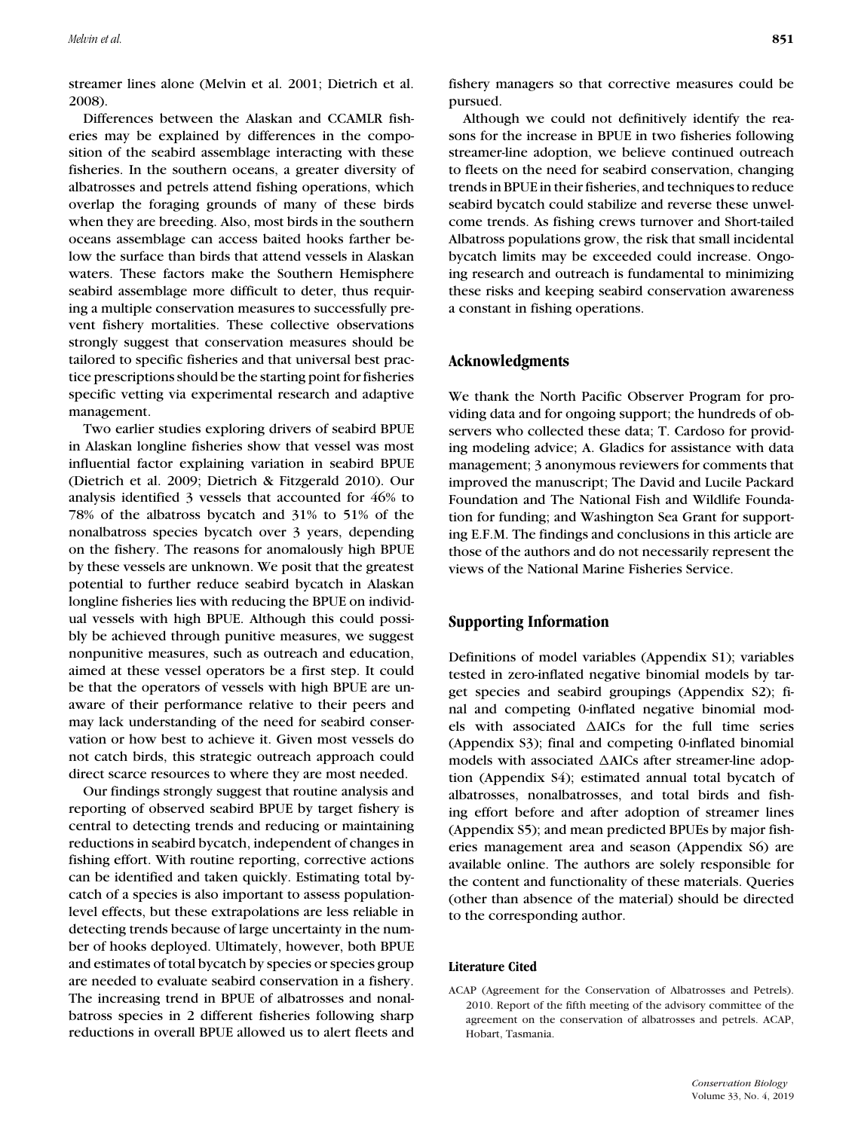streamer lines alone (Melvin et al. 2001; Dietrich et al. 2008).

Differences between the Alaskan and CCAMLR fisheries may be explained by differences in the composition of the seabird assemblage interacting with these fisheries. In the southern oceans, a greater diversity of albatrosses and petrels attend fishing operations, which overlap the foraging grounds of many of these birds when they are breeding. Also, most birds in the southern oceans assemblage can access baited hooks farther below the surface than birds that attend vessels in Alaskan waters. These factors make the Southern Hemisphere seabird assemblage more difficult to deter, thus requiring a multiple conservation measures to successfully prevent fishery mortalities. These collective observations strongly suggest that conservation measures should be tailored to specific fisheries and that universal best practice prescriptions should be the starting point for fisheries specific vetting via experimental research and adaptive management.

Two earlier studies exploring drivers of seabird BPUE in Alaskan longline fisheries show that vessel was most influential factor explaining variation in seabird BPUE (Dietrich et al. 2009; Dietrich & Fitzgerald 2010). Our analysis identified 3 vessels that accounted for 46% to 78% of the albatross bycatch and 31% to 51% of the nonalbatross species bycatch over 3 years, depending on the fishery. The reasons for anomalously high BPUE by these vessels are unknown. We posit that the greatest potential to further reduce seabird bycatch in Alaskan longline fisheries lies with reducing the BPUE on individual vessels with high BPUE. Although this could possibly be achieved through punitive measures, we suggest nonpunitive measures, such as outreach and education, aimed at these vessel operators be a first step. It could be that the operators of vessels with high BPUE are unaware of their performance relative to their peers and may lack understanding of the need for seabird conservation or how best to achieve it. Given most vessels do not catch birds, this strategic outreach approach could direct scarce resources to where they are most needed.

Our findings strongly suggest that routine analysis and reporting of observed seabird BPUE by target fishery is central to detecting trends and reducing or maintaining reductions in seabird bycatch, independent of changes in fishing effort. With routine reporting, corrective actions can be identified and taken quickly. Estimating total bycatch of a species is also important to assess populationlevel effects, but these extrapolations are less reliable in detecting trends because of large uncertainty in the number of hooks deployed. Ultimately, however, both BPUE and estimates of total bycatch by species or species group are needed to evaluate seabird conservation in a fishery. The increasing trend in BPUE of albatrosses and nonalbatross species in 2 different fisheries following sharp reductions in overall BPUE allowed us to alert fleets and fishery managers so that corrective measures could be pursued.

Although we could not definitively identify the reasons for the increase in BPUE in two fisheries following streamer-line adoption, we believe continued outreach to fleets on the need for seabird conservation, changing trends in BPUE in their fisheries, and techniques to reduce seabird bycatch could stabilize and reverse these unwelcome trends. As fishing crews turnover and Short-tailed Albatross populations grow, the risk that small incidental bycatch limits may be exceeded could increase. Ongoing research and outreach is fundamental to minimizing these risks and keeping seabird conservation awareness a constant in fishing operations.

## **Acknowledgments**

We thank the North Pacific Observer Program for providing data and for ongoing support; the hundreds of observers who collected these data; T. Cardoso for providing modeling advice; A. Gladics for assistance with data management; 3 anonymous reviewers for comments that improved the manuscript; The David and Lucile Packard Foundation and The National Fish and Wildlife Foundation for funding; and Washington Sea Grant for supporting E.F.M. The findings and conclusions in this article are those of the authors and do not necessarily represent the views of the National Marine Fisheries Service.

## **Supporting Information**

Definitions of model variables (Appendix S1); variables tested in zero-inflated negative binomial models by target species and seabird groupings (Appendix S2); final and competing 0-inflated negative binomial models with associated  $\triangle$ AICs for the full time series (Appendix S3); final and competing 0-inflated binomial models with associated  $\triangle$ AICs after streamer-line adoption (Appendix S4); estimated annual total bycatch of albatrosses, nonalbatrosses, and total birds and fishing effort before and after adoption of streamer lines (Appendix S5); and mean predicted BPUEs by major fisheries management area and season (Appendix S6) are available online. The authors are solely responsible for the content and functionality of these materials. Queries (other than absence of the material) should be directed to the corresponding author.

#### **Literature Cited**

ACAP (Agreement for the Conservation of Albatrosses and Petrels). 2010. Report of the fifth meeting of the advisory committee of the agreement on the conservation of albatrosses and petrels. ACAP, Hobart, Tasmania.